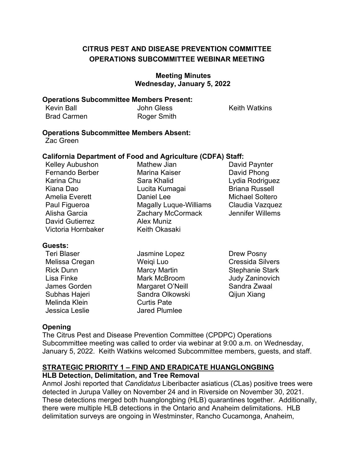# **OPERATIONS SUBCOMMITTEE WEBINAR MEETING CITRUS PEST AND DISEASE PREVENTION COMMITTEE**

### **Meeting Minutes Wednesday, January 5, 2022**

#### **Operations Subcommittee Members Present:**

| <b>Kevin Ball</b>  | <b>John Gless</b>  |
|--------------------|--------------------|
| <b>Brad Carmen</b> | <b>Roger Smith</b> |

ess **Keith Watkins** 

### **Operations Subcommittee Members Absent:**

Zac Green

### **California Department of Food and Agriculture (CDFA) Staff:**

| <b>Kelley Aubushon</b> | <b>Mathew Jian</b>            | David Paynter          |
|------------------------|-------------------------------|------------------------|
| Fernando Berber        | <b>Marina Kaiser</b>          | David Phong            |
| Karina Chu             | Sara Khalid                   | Lydia Rodriguez        |
| Kiana Dao              | Lucita Kumagai                | <b>Briana Russell</b>  |
| <b>Amelia Everett</b>  | Daniel Lee                    | <b>Michael Soltero</b> |
| Paul Figueroa          | <b>Magally Luque-Williams</b> | Claudia Vazquez        |
| Alisha Garcia          | Zachary McCormack             | Jennifer Willems       |
| <b>David Gutierrez</b> | <b>Alex Muniz</b>             |                        |
| Victoria Hornbaker     | Keith Okasaki                 |                        |

### **Guests:**

| <b>Teri Blaser</b> | Jasmine Lopez        |
|--------------------|----------------------|
| Melissa Cregan     | Weiqi Luo            |
| <b>Rick Dunn</b>   | <b>Marcy Martin</b>  |
| Lisa Finke         | <b>Mark McBroom</b>  |
| James Gorden       | Margaret O'Neill     |
| Subhas Hajeri      | Sandra Olkowski      |
| Melinda Klein      | <b>Curtis Pate</b>   |
| Jessica Leslie     | <b>Jared Plumlee</b> |

Drew Posny Cressida Silvers **Stephanie Stark Judy Zaninovich** Sandra Zwaal Qijun Xiang

# **Opening**

The Citrus Pest and Disease Prevention Committee (CPDPC) Operations Subcommittee meeting was called to order via webinar at 9:00 a.m. on Wednesday, January 5, 2022. Keith Watkins welcomed Subcommittee members, guests, and staff.

# **STRATEGIC PRIORITY 1 – FIND AND ERADICATE HUANGLONGBING**

### **HLB Detection, Delimitation, and Tree Removal**

Anmol Joshi reported that *Candidatus* Liberibacter asiaticus (*C*Las) positive trees were detected in Jurupa Valley on November 24 and in Riverside on November 30, 2021. These detections merged both huanglongbing (HLB) quarantines together. Additionally, there were multiple HLB detections in the Ontario and Anaheim delimitations. HLB delimitation surveys are ongoing in Westminster, Rancho Cucamonga, Anaheim,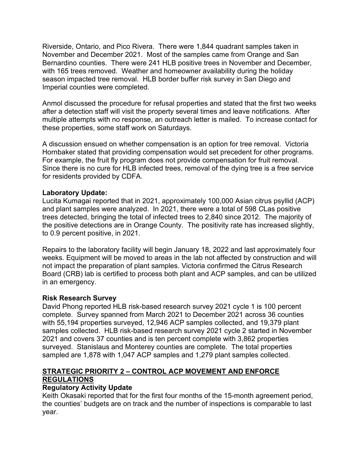Riverside, Ontario, and Pico Rivera. There were 1,844 quadrant samples taken in Bernardino counties. There were 241 HLB positive trees in November and December, with 165 trees removed. Weather and homeowner availability during the holiday season impacted tree removal. HLB border buffer risk survey in San Diego and Imperial counties were completed. November and December 2021. Most of the samples came from Orange and San

 multiple attempts with no response, an outreach letter is mailed. To increase contact for these properties, some staff work on Saturdays. Anmol discussed the procedure for refusal properties and stated that the first two weeks after a detection staff will visit the property several times and leave notifications. After

these properties, some staff work on Saturdays.<br>A discussion ensued on whether compensation is an option for tree removal. Victoria Hornbaker stated that providing compensation would set precedent for other programs. For example, the fruit fly program does not provide compensation for fruit removal. Since there is no cure for HLB infected trees, removal of the dying tree is a free service for residents provided by CDFA.

### **Laboratory Update:**

 and plant samples were analyzed. In 2021, there were a total of 598 *C*Las positive Lucita Kumagai reported that in 2021, approximately 100,000 Asian citrus psyllid (ACP) trees detected, bringing the total of infected trees to 2,840 since 2012. The majority of the positive detections are in Orange County. The positivity rate has increased slightly, to 0.9 percent positive, in 2021.

 Repairs to the laboratory facility will begin January 18, 2022 and last approximately four weeks. Equipment will be moved to areas in the lab not affected by construction and will not impact the preparation of plant samples. Victoria confirmed the Citrus Research Board (CRB) lab is certified to process both plant and ACP samples, and can be utilized in an emergency.

### **Risk Research Survey**

 David Phong reported HLB risk-based research survey 2021 cycle 1 is 100 percent samples collected. HLB risk-based research survey 2021 cycle 2 started in November surveyed. Stanislaus and Monterey counties are complete. The total properties sampled are 1,878 with 1,047 ACP samples and 1,279 plant samples collected. complete. Survey spanned from March 2021 to December 2021 across 36 counties with 55,194 properties surveyed, 12,946 ACP samples collected, and 19,379 plant 2021 and covers 37 counties and is ten percent complete with 3,862 properties

# **STRATEGIC PRIORITY 2 – CONTROL ACP MOVEMENT AND ENFORCE REGULATIONS**

### **Regulatory Activity Update**

 Keith Okasaki reported that for the first four months of the 15-month agreement period, the counties' budgets are on track and the number of inspections is comparable to last year.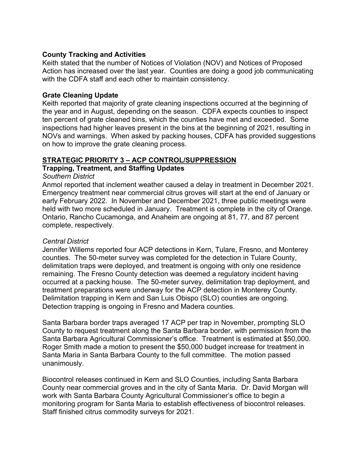### **County Tracking and Activities**

 Action has increased over the last year. Counties are doing a good job communicating with the CDFA staff and each other to maintain consistency. Keith stated that the number of Notices of Violation (NOV) and Notices of Proposed

### **Grate Cleaning Update**

 Keith reported that majority of grate cleaning inspections occurred at the beginning of the year and in August, depending on the season. CDFA expects counties to inspect ten percent of grate cleaned bins, which the counties have met and exceeded. Some inspections had higher leaves present in the bins at the beginning of 2021, resulting in NOVs and warnings. When asked by packing houses, CDFA has provided suggestions on how to improve the grate cleaning process.

# **STRATEGIC PRIORITY 3 – ACP CONTROL/SUPPRESSION**

### **Trapping, Treatment, and Staffing Updates**

### *Southern District*

 Anmol reported that inclement weather caused a delay in treatment in December 2021. Emergency treatment near commercial citrus groves will start at the end of January or early February 2022. In November and December 2021, three public meetings were held with two more scheduled in January. Treatment is complete in the city of Orange. Ontario, Rancho Cucamonga, and Anaheim are ongoing at 81, 77, and 87 percent complete, respectively.

## *Central District*

 Jennifer Willems reported four ACP detections in Kern, Tulare, Fresno, and Monterey occurred at a packing house. The 50-meter survey, delimitation trap deployment, and treatment preparations were underway for the ACP detection in Monterey County. counties. The 50-meter survey was completed for the detection in Tulare County, delimitation traps were deployed, and treatment is ongoing with only one residence remaining. The Fresno County detection was deemed a regulatory incident having Delimitation trapping in Kern and San Luis Obispo (SLO) counties are ongoing. Detection trapping is ongoing in Fresno and Madera counties.

 Santa Barbara border traps averaged 17 ACP per trap in November, prompting SLO County to request treatment along the Santa Barbara border, with permission from the Santa Barbara Agricultural Commissioner's office. Treatment is estimated at \$50,000. Roger Smith made a motion to present the \$50,000 budget increase for treatment in Santa Maria in Santa Barbara County to the full committee. The motion passed unanimously.

 County near commercial groves and in the city of Santa Maria. Dr. David Morgan will Staff finished citrus commodity surveys for 2021. Biocontrol releases continued in Kern and SLO Counties, including Santa Barbara work with Santa Barbara County Agricultural Commissioner's office to begin a monitoring program for Santa Maria to establish effectiveness of biocontrol releases.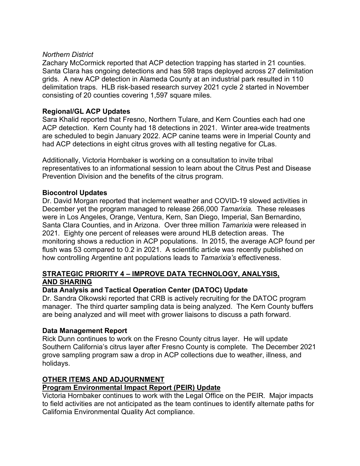### *Northern District*

 Santa Clara has ongoing detections and has 598 traps deployed across 27 delimitation grids. A new ACP detection in Alameda County at an industrial park resulted in 110 delimitation traps. HLB risk-based research survey 2021 cycle 2 started in November consisting of 20 counties covering 1,597 square miles. Zachary McCormick reported that ACP detection trapping has started in 21 counties.

# **Regional/GL ACP Updates**

 Sara Khalid reported that Fresno, Northern Tulare, and Kern Counties each had one ACP detection. Kern County had 18 detections in 2021. Winter area-wide treatments had ACP detections in eight citrus groves with all testing negative for *C*Las. are scheduled to begin January 2022. ACP canine teams were in Imperial County and

 Prevention Division and the benefits of the citrus program. Additionally, Victoria Hornbaker is working on a consultation to invite tribal representatives to an informational session to learn about the Citrus Pest and Disease

# **Biocontrol Updates**

 Dr. David Morgan reported that inclement weather and COVID-19 slowed activities in Santa Clara Counties, and in Arizona. Over three million *Tamarixia* were released in 2021*.* Eighty one percent of releases were around HLB detection areas. The flush was 53 compared to 0.2 in 2021. A scientific article was recently published on how controlling Argentine ant populations leads to *Tamarixia's* effectiveness. December yet the program managed to release 266,000 *Tamarixia.* These releases were in Los Angeles, Orange, Ventura, Kern, San Diego, Imperial, San Bernardino, monitoring shows a reduction in ACP populations. In 2015, the average ACP found per

# **STRATEGIC PRIORITY 4 – IMPROVE DATA TECHNOLOGY, ANALYSIS, AND SHARING**

### **Data Analysis and Tactical Operation Center (DATOC) Update**

 Dr. Sandra Olkowski reported that CRB is actively recruiting for the DATOC program manager. The third quarter sampling data is being analyzed. The Kern County buffers are being analyzed and will meet with grower liaisons to discuss a path forward.

## **Data Management Report**

 Rick Dunn continues to work on the Fresno County citrus layer. He will update Southern California's citrus layer after Fresno County is complete. The December 2021 grove sampling program saw a drop in ACP collections due to weather, illness, and holidays.

### **OTHER ITEMS AND ADJOURNMENT**

### **Program Environmental Impact Report (PEIR) Update**

 Victoria Hornbaker continues to work with the Legal Office on the PEIR. Major impacts to field activities are not anticipated as the team continues to identify alternate paths for California Environmental Quality Act compliance.